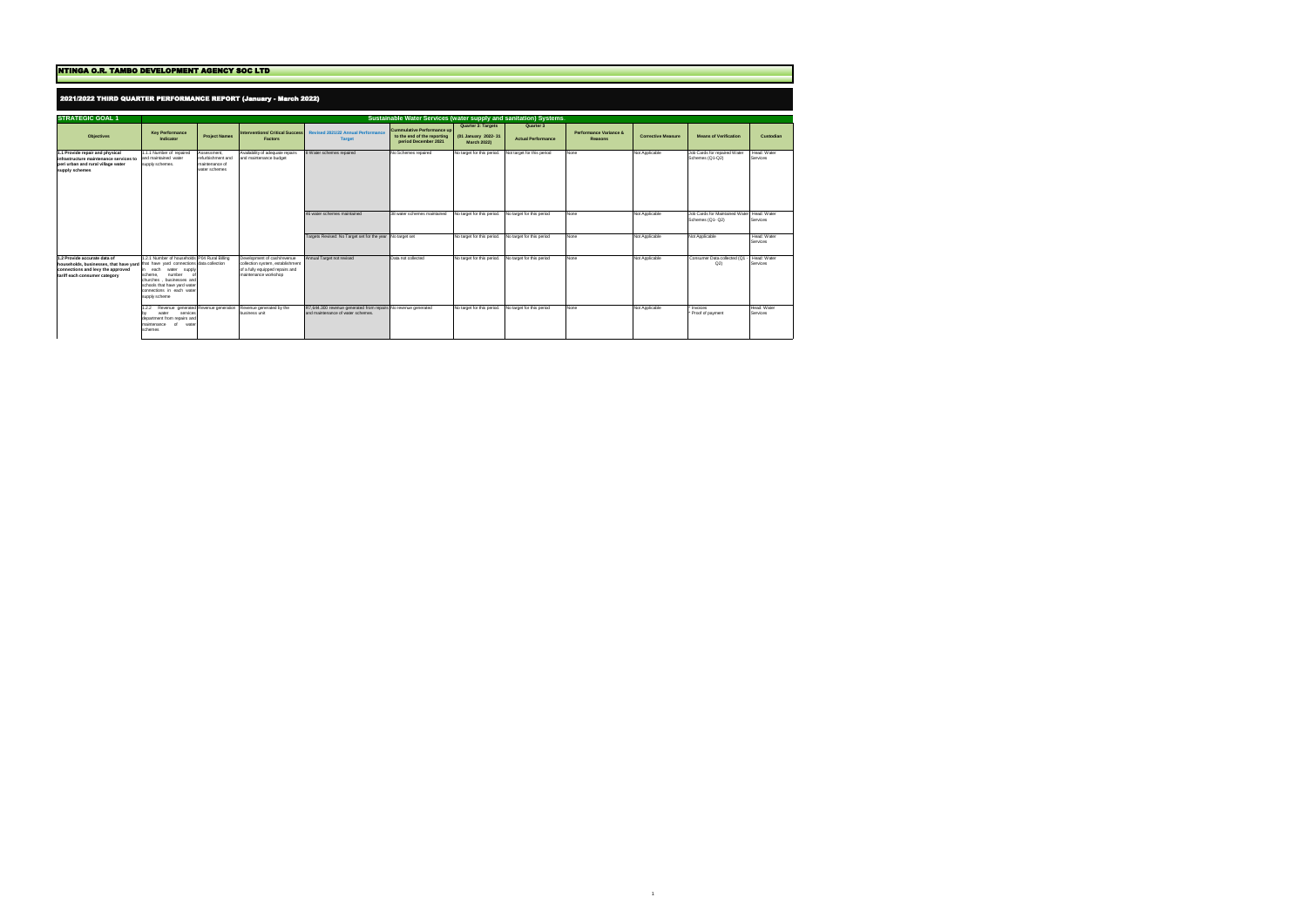| <b>NTINGA O.R. TAMBO DEVELOPMENT AGENCY SOC LTD</b>                                                                                                                                     |                                                                                                                                                                                                        |                                                                     |                                                                                                                            |                                                                                                     |                                                                                   |                                                                 |                                        |                                                     |                           |                                                               |                         |  |  |  |  |
|-----------------------------------------------------------------------------------------------------------------------------------------------------------------------------------------|--------------------------------------------------------------------------------------------------------------------------------------------------------------------------------------------------------|---------------------------------------------------------------------|----------------------------------------------------------------------------------------------------------------------------|-----------------------------------------------------------------------------------------------------|-----------------------------------------------------------------------------------|-----------------------------------------------------------------|----------------------------------------|-----------------------------------------------------|---------------------------|---------------------------------------------------------------|-------------------------|--|--|--|--|
|                                                                                                                                                                                         | 2021/2022 THIRD QUARTER PERFORMANCE REPORT (January - March 2022)<br>Sustainable Water Services (water supply and sanitation) Systems                                                                  |                                                                     |                                                                                                                            |                                                                                                     |                                                                                   |                                                                 |                                        |                                                     |                           |                                                               |                         |  |  |  |  |
| <b>STRATEGIC GOAL 1</b>                                                                                                                                                                 |                                                                                                                                                                                                        |                                                                     |                                                                                                                            |                                                                                                     |                                                                                   |                                                                 |                                        |                                                     |                           |                                                               |                         |  |  |  |  |
| <b>Objectives</b>                                                                                                                                                                       | <b>Key Performance</b><br>Indicator                                                                                                                                                                    | <b>Project Names</b>                                                | <b>Interventions/ Critical Success</b><br><b>Factors</b>                                                                   | <b>Revised 2021/22 Annual Performance</b><br><b>Target</b>                                          | Cummulative Performance up<br>to the end of the reporting<br>period December 2021 | Quarter 3: Targets<br>(01 January 2022-31<br><b>March 2022)</b> | Quarter 3<br><b>Actual Performance</b> | <b>Performance Variance &amp;</b><br><b>Reasons</b> | <b>Corrective Measure</b> | <b>Means of Verification</b>                                  | Custodian               |  |  |  |  |
| 1.1 Provide repair and physical<br>infrastructure maintenance services to<br>peri urban and rural village water<br>supply schemes                                                       | 1.1.1 Number of repaired<br>and maintained water<br>supply schemes.                                                                                                                                    | Assessment,<br>refurbishment and<br>maintenance of<br>water schemes | Availability of adequate repairs<br>and maintenance budget                                                                 | 8 Water schemes repaired                                                                            | No Schemes repaired                                                               | No target for this period.                                      | Not target for this period             | None                                                | Not Applicable            | Job Cards for repaired Water<br>Schemes (Q1-Q2)               | Head: Water<br>Services |  |  |  |  |
|                                                                                                                                                                                         |                                                                                                                                                                                                        |                                                                     |                                                                                                                            | 46 water schemes maintained                                                                         | 38 water schemes maintained                                                       | No target for this period.                                      | No target for this period              | None                                                | Not Applicable            | Job Cards for Maintained Water Head: Water<br>Schemes (Q1-Q2) | Services                |  |  |  |  |
|                                                                                                                                                                                         |                                                                                                                                                                                                        |                                                                     |                                                                                                                            | Targets Revised: No Target set for the year No target set                                           |                                                                                   | No target for this period.                                      | No target for this period              | None                                                | Not Applicable            | Not Applicable                                                | Head: Water<br>Services |  |  |  |  |
| 1.2 Provide accurate data of<br>households, businesses, that have yard that have yard connections data collection<br>connections and levy the approved<br>tariff each consumer category | 1.2.1 Number of households P04 Rural Billing<br>in each<br>water supply<br>scheme.<br>number<br>churches, businesses and<br>schools that have yard water<br>connections in each water<br>supply scheme |                                                                     | Development of cash/revenue<br>collection system, establishment<br>of a fully equipped repairs and<br>maintenance workshop | Annual Target not revised                                                                           | Data not collected                                                                | No target for this period.                                      | No target for this period              | None                                                | Not Applicable            | Consumer Data collected (Q1<br>Q2                             | Head: Water<br>Services |  |  |  |  |
|                                                                                                                                                                                         | 1.2.2 Revenue generated Revenue generation Revenue generated by the<br>services<br>water<br>department from repairs and<br>maintenance<br>of<br>wate<br>schemes                                        |                                                                     | business unit                                                                                                              | R7,644.300 revenue generated from repairs No revenue generated<br>and maintenance of water schemes. |                                                                                   | No target for this period.                                      | No target for this period              | None                                                | Not Applicable            | * Invoices<br>* Proof of payment                              | Head: Water<br>Services |  |  |  |  |

 $\mathbf{1}$  11  $\mathbf{1}$  11  $\mathbf{1}$  11  $\mathbf{1}$  11  $\mathbf{1}$  11  $\mathbf{1}$  11  $\mathbf{1}$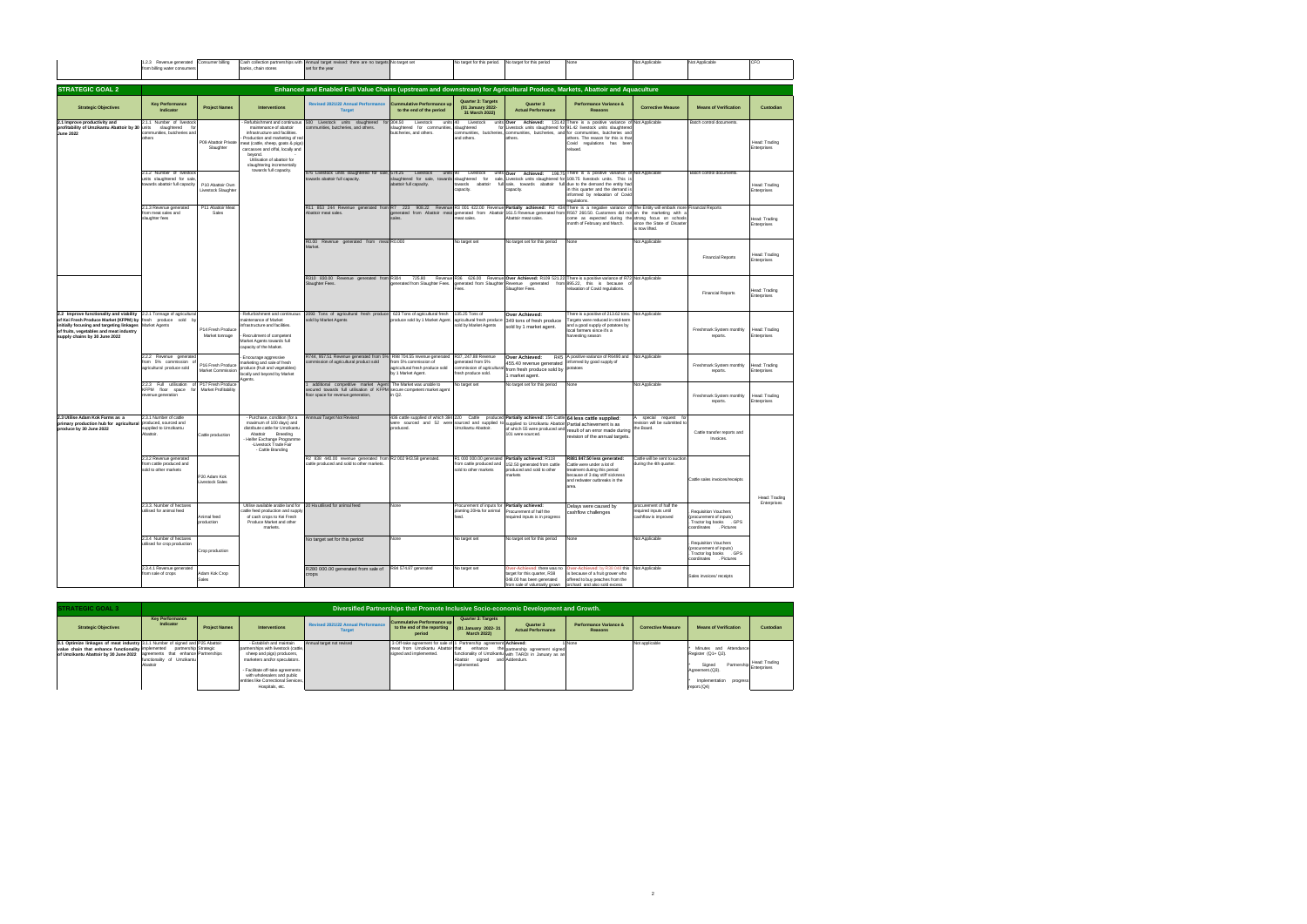|                                                                                                                                                                                                                                                                             | 1.2.3 Revenue generated                                                                     | Consumer billing                       | Cash collection partnerships with                                                                                                                                                                                                                                                                         | Annual target revised: there are no targets No target set                                                                                                                                                       |                                                                                                               |                                                                                               | No target for this period. No target for this period                                                                                                                                                                                           | None                                                                                                                                                                                                                                                                                                             | Not Applicable                                                                     | Not Applicable                                                                                                | CFO                                 |
|-----------------------------------------------------------------------------------------------------------------------------------------------------------------------------------------------------------------------------------------------------------------------------|---------------------------------------------------------------------------------------------|----------------------------------------|-----------------------------------------------------------------------------------------------------------------------------------------------------------------------------------------------------------------------------------------------------------------------------------------------------------|-----------------------------------------------------------------------------------------------------------------------------------------------------------------------------------------------------------------|---------------------------------------------------------------------------------------------------------------|-----------------------------------------------------------------------------------------------|------------------------------------------------------------------------------------------------------------------------------------------------------------------------------------------------------------------------------------------------|------------------------------------------------------------------------------------------------------------------------------------------------------------------------------------------------------------------------------------------------------------------------------------------------------------------|------------------------------------------------------------------------------------|---------------------------------------------------------------------------------------------------------------|-------------------------------------|
|                                                                                                                                                                                                                                                                             | from billing water consumers                                                                |                                        | banks, chain stores                                                                                                                                                                                                                                                                                       | set for the year                                                                                                                                                                                                |                                                                                                               |                                                                                               |                                                                                                                                                                                                                                                |                                                                                                                                                                                                                                                                                                                  |                                                                                    |                                                                                                               |                                     |
|                                                                                                                                                                                                                                                                             |                                                                                             |                                        |                                                                                                                                                                                                                                                                                                           |                                                                                                                                                                                                                 |                                                                                                               |                                                                                               |                                                                                                                                                                                                                                                |                                                                                                                                                                                                                                                                                                                  |                                                                                    |                                                                                                               |                                     |
| <b>STRATEGIC GOAL 2</b>                                                                                                                                                                                                                                                     |                                                                                             |                                        |                                                                                                                                                                                                                                                                                                           | Enhanced and Enabled Full Value Chains (upstream and downstream) for Agricultural Produce, Markets, Abattoir and Aquaculture                                                                                    |                                                                                                               |                                                                                               |                                                                                                                                                                                                                                                |                                                                                                                                                                                                                                                                                                                  |                                                                                    |                                                                                                               |                                     |
| <b>Strategic Objectives</b>                                                                                                                                                                                                                                                 | <b>Key Performance</b><br>Indicator                                                         | <b>Project Names</b>                   | <b>Interventions</b>                                                                                                                                                                                                                                                                                      | <b>Revised 2021/22 Annual Performance</b><br><b>Target</b>                                                                                                                                                      | ummulative Performance up<br>to the end of the period                                                         | <b>Quarter 3: Targets</b><br>(01 January 2022-<br>31 March 2022)                              | Quarter 3<br><b>Actual Performance</b>                                                                                                                                                                                                         | Performance Variance &<br><b>Reasons</b>                                                                                                                                                                                                                                                                         | <b>Corrective Meause</b>                                                           | <b>Means of Verification</b>                                                                                  | Custodian                           |
| 2.1 Improve productivity and<br>profitability of Umzikantu Abattoir by 30 units<br>June 2022                                                                                                                                                                                | 2.1.1 Number of livestock<br>slaughtered for<br>communities, butcheries and<br>others       | P09 Abattoir Private<br>Slaughter      | - Refurbishment and continuous<br>maintenance of abattoir<br>infrastructure and facilities<br>Production and marketing of red<br>neat (cattle, sheep, goats & pigs)<br>carcasses and offal, locally and<br>bevond.<br>Utilisation of abattoir for<br>slaughtering incrementally<br>towards full capacity. | 500 Livestock units slaughtered for<br>ommunities, butcheries, and others.                                                                                                                                      | 304.50<br>Livestock<br>units 40<br>laughtered for communities,<br>outcheries, and others.                     | Livestock<br>slaughtered<br>and others.                                                       | units Over<br>Achieved:<br>others.                                                                                                                                                                                                             | 131.42 There is a positive variance of Not Applicable<br>for Livestock units slaughtered for 91.42 livestock units slaughtered<br>communities, butcheries, communities, butcheries, and for communities, butcheries and<br>others. The reason for this is that<br>Covid regulations has been<br>relaxed.         |                                                                                    | Batch control documents                                                                                       | Head: Trading<br><b>Enternrises</b> |
|                                                                                                                                                                                                                                                                             | 2.1.2 Number of livestock<br>units slaughtered for sale,<br>towards abattoir full capacity  | P10 Abattoir Own<br>Livestock Slaughte |                                                                                                                                                                                                                                                                                                           | 976 Livestock units slaughtered for sale, 574.25 Livestock<br>towards abattoir full capacity.                                                                                                                   | units 90<br>slaughtered for sale, towards slaughtered for<br>abattoir full capacity.                          | Livestock<br>towards abattoir<br>capacity.                                                    | capacity.                                                                                                                                                                                                                                      | units Over Achieved: 198.75 There is a positive variance of Not Applicable<br>sale, Livestock units slaughtered for 108.75 livestock units. This is<br>full sale, towards abattoir full due to the demand the entity had<br>in this quarter and the demand is<br>informed by relaxation of Covid<br>regulations. |                                                                                    | Batch control documents.                                                                                      | Head: Trading<br>Enterprises        |
|                                                                                                                                                                                                                                                                             | 2.1.3 Revenue generated<br>from meat sales and<br>slaughter fees                            | P11 Abattoir Meat<br>Sales             |                                                                                                                                                                                                                                                                                                           | R11 853 244 Revenue generated from R7 223 908.22 Revenue R3 001 422.00 Revenue Partially achieved: R2 434 There is a negative variance of The Entity will embark more Financial Reports<br>Abattoir meat sales. | <b>poles</b>                                                                                                  | meat sales                                                                                    | generated from Abattoir meat generated from Abattoir 161.5 Revenue generated from<br>Abattoir meat sales.                                                                                                                                      | R567 260.50. Customers did not on the marketing with<br>come as expected during the strong focus on schools<br>month of February and March.                                                                                                                                                                      | since the State of Disaste<br>is now lifted                                        |                                                                                                               | Head: Trading<br>Enterprises        |
|                                                                                                                                                                                                                                                                             |                                                                                             |                                        |                                                                                                                                                                                                                                                                                                           | R0.00 Revenue generated from meat R0.000<br>Market                                                                                                                                                              |                                                                                                               | No target set                                                                                 | No target set for this period                                                                                                                                                                                                                  | None                                                                                                                                                                                                                                                                                                             | Not Applicable                                                                     | <b>Financial Reports</b>                                                                                      | Head: Trading<br><b>Interprises</b> |
|                                                                                                                                                                                                                                                                             |                                                                                             |                                        |                                                                                                                                                                                                                                                                                                           | R310 830.00 Revenue generated from R304<br>Slaughter Fees.                                                                                                                                                      | generated from Slaughter Fees.                                                                                | Fees.                                                                                         | generated from Slaughter Revenue generated from 895.22, this is because<br>Slaughter Fees.                                                                                                                                                     | 725.80 Revenue R36 626.00 Revenue Over Achieved: R109 521.22 There is a positive variance of R72 Not Applicable<br>relaxation of Covid regulations.                                                                                                                                                              |                                                                                    | <b>Financial Reports</b>                                                                                      | Head: Trading<br>Enterprises        |
| 2.2 Improve functionality and viability 2.2.1 Tonnage of agricultural<br>of Kei Fresh Produce Market (KFPM) by fresh produce sold by<br>initially focusing and targeting linkages Market Agents<br>of fruits, vegetables and meat industry<br>supply chains by 30 June 2022 |                                                                                             | P14 Fresh Produce<br>Market tonnage    | Refurbishment and continuous<br>aintenance of Market<br>nfrastructure and facilities<br>Recruitment of competent<br>Market Agents towards full<br>capacity of the Market.                                                                                                                                 | 2093 Tons of agricultural fresh produce<br>sold by Market Agents                                                                                                                                                | 623 Tons of agricultural fresh<br>produce sold by 1 Market Agent.                                             | 135.25 Tons of<br>agricultural fresh produce<br>sold by Market Agents                         | Over Achieved:<br>349 tons of fresh produce<br>sold by 1 market agent.                                                                                                                                                                         | There is a positive of 213.62 tons. Not Applicable<br>argets were reduced in mid-term<br>and a good supply of potatoes by<br>local farmers since it's a<br>harvesting season                                                                                                                                     |                                                                                    | Freshmark System monthly<br>reports.                                                                          | Head: Trading<br>Enterprises        |
|                                                                                                                                                                                                                                                                             | 2.2.2 Revenue generated<br>from 5% commission of<br>agricultural produce sold               | P16 Fresh Produce<br>Market Commission | Encourage aggressive<br>marketing and sale of fresh<br>produce (fruit and vegetables)<br>locally and beyond by Market<br>oents.                                                                                                                                                                           | R744, 957.51 Revenue generated from 5%<br>commission of agricultural product sold                                                                                                                               | R98 704.55 revenue generated<br>from 5% commission o<br>hioa equivoid frash produce sold<br>by 1 Market Agent | R37, 247,88 Revenue<br>generated from 5%<br>commission of agricultural<br>fresh produce sold. | Over Achieved:<br>455.40 revenue generated<br>from fresh produce sold by<br>1 market agent.                                                                                                                                                    | R45 A positive variance of R6490 and Not Applicable<br>nformed by good supply of<br>otatoes                                                                                                                                                                                                                      |                                                                                    | Freshmark System monthly<br>reports.                                                                          | Head: Trading<br>Enterprises        |
|                                                                                                                                                                                                                                                                             | 2.2.3 Full utilisation of P17 Fresh Produce<br>KFPM floor space<br>fo<br>revenue generation | Market Profitability                   |                                                                                                                                                                                                                                                                                                           | additional competitive market Agent The Market was unable to<br>ecured towards full utilisation of KFPM<br>floor space for revenue generation,                                                                  | secure competent market agen<br>n Q2.                                                                         | No target set                                                                                 | No target set for this period                                                                                                                                                                                                                  | None                                                                                                                                                                                                                                                                                                             | Not Applicable                                                                     | Freshmark System monthly<br>reports.                                                                          | Head: Trading<br>Enterprises        |
| 2.3 Utilise Adam Kok Farms as a<br>primary production hub for agricultural<br>produce by 30 June 2022                                                                                                                                                                       | 2.3.1 Number of cattle<br>produced, sourced and<br>supplied to Umzikantu<br>Abattoir.       | Cattle production                      | - Purchase, condition (for a<br>maximum of 100 days) and<br>distribute cattle for Umzikantu<br>Abattoir Breeding<br>Heifer Exchange Programme<br>-Livestock Trade Fair<br>- Cattle Branding                                                                                                               | Annnual Target Not Revised                                                                                                                                                                                      | produced.                                                                                                     | Umzikantu Abattoir.                                                                           | 436 cattle supplied of which 384 220 Cattle produced Partially achieved: 156 Cattle 64 less cattle supplied:<br>were sourced and 52 were sourced and supplied to supplied to Umzikantu Abattoir Partial achievement is as<br>101 were sourced. | of which 55 were produced and result of an error made during<br>revision of the annual targets.                                                                                                                                                                                                                  | special request for<br>$\mathsf{A}$<br>revision will be submitted to<br>the Board. | Cattle transfer reports and<br>Invoices                                                                       |                                     |
|                                                                                                                                                                                                                                                                             | 2.3.2 Revenue generated<br>from cattle produced and<br>sold to other markets                | P20 Adam Kok<br><b>Livestock Sales</b> |                                                                                                                                                                                                                                                                                                           | R2 838 440.00 revenue generated from R2 002 943.58 generated.<br>cattle produced and sold to other markets.                                                                                                     |                                                                                                               | sold to other markets                                                                         | R1 000 000.00 generated Partially achieved: R118<br>from cattle produced and 152.50 generated from cattle<br>produced and sold to other<br>narkets                                                                                             | R881 847.50 less generated:<br>Cattle were under a lot of<br>treatment during this period<br>because of 3 day stiff sickness<br>and redwater outbreaks in the<br>area.                                                                                                                                           | Cattle will be sent to auctio<br>uring the 4th quarter                             | Cattle sales invoices/receipts                                                                                | Head: Trading                       |
|                                                                                                                                                                                                                                                                             | 2.3.3. Number of hectares<br>utilised for animal feed                                       | Animal feed<br>production              | Utilise available arable land for 20 Ha utilised for animal feed<br>cattle feed production and supply<br>of cash crops to Kei Fresh<br>Produce Market and other<br>markets.                                                                                                                               |                                                                                                                                                                                                                 | None                                                                                                          | Procurement of inputs for Partially achieved:<br>planting 20Ha for animal<br>eed.             | Procurement of half the<br>equired inputs is in progress                                                                                                                                                                                       | Delays were caused by<br>cashflow challenges                                                                                                                                                                                                                                                                     | procurement of half the<br>required inputs until<br>cashflow is improved           | Requisition Vouchers<br>procurement of inputs)<br>Tractor log books .GPS<br>coordinates<br>. Pictures         | Enterprises                         |
|                                                                                                                                                                                                                                                                             | 2.3.4 Number of hectares<br>utilised for crop production                                    | Crop production                        |                                                                                                                                                                                                                                                                                                           | No target set for this period                                                                                                                                                                                   | None                                                                                                          | No target set                                                                                 | No target set for this period                                                                                                                                                                                                                  | None                                                                                                                                                                                                                                                                                                             | Not Applicable                                                                     | <b>Requisition Vouchers</b><br>procurement of inputs)<br>Tractor log books . GPS<br>coordinates<br>. Pictures |                                     |
|                                                                                                                                                                                                                                                                             | 2.3.4.1 Revenue generated<br>rom sale of crops                                              | Adam Kok Crop                          |                                                                                                                                                                                                                                                                                                           | R280 000.00 generated from sale of<br>crops                                                                                                                                                                     | R84 574.87 generated                                                                                          | No target set                                                                                 | target for this quarter, R38<br>048.00 has been generated<br>from sale of voluntarily grown                                                                                                                                                    | Over-Achieved: there was no Over-Achieved: by R38 048 this Not Applicable<br>is because of a fruit grower who<br>offered to buy peaches from the<br>orchard, and also sold excess.                                                                                                                               |                                                                                    | Sales invoices/ receipts                                                                                      |                                     |

| <b>STRATEGIC GOAL 3</b>                                                                                                                                                                                                                    |                                        | Diversified Partnerships that Promote Inclusive Socio-economic Development and Growth. |                                                                                                                                                                                                                                                              |                                                            |                                                                                                                                    |                                                                 |                                                                                            |                                          |                           |                                                                                                                                  |                              |  |  |
|--------------------------------------------------------------------------------------------------------------------------------------------------------------------------------------------------------------------------------------------|----------------------------------------|----------------------------------------------------------------------------------------|--------------------------------------------------------------------------------------------------------------------------------------------------------------------------------------------------------------------------------------------------------------|------------------------------------------------------------|------------------------------------------------------------------------------------------------------------------------------------|-----------------------------------------------------------------|--------------------------------------------------------------------------------------------|------------------------------------------|---------------------------|----------------------------------------------------------------------------------------------------------------------------------|------------------------------|--|--|
| <b>Strategic Objectives</b>                                                                                                                                                                                                                | <b>Key Performance</b><br>Indicator    | <b>Project Names</b>                                                                   | <b>Interventions</b>                                                                                                                                                                                                                                         | <b>Revised 2021/22 Annual Performance</b><br><b>Target</b> | Cummulative Performance up<br>to the end of the reporting<br>period                                                                | Quarter 3: Targets<br>(01 January 2022-31<br><b>March 2022)</b> | Quarter 3<br><b>Actual Performance</b>                                                     | Performance Variance &<br><b>Reasons</b> | <b>Corrective Measure</b> | <b>Means of Verification</b>                                                                                                     | Custodian                    |  |  |
| 3.1 Optimize linkages of meat industry 3.1.1 Number of signed and P25 Abattoir<br>value chain that enhance functionality implemented partnership Strategic<br>of Umzikantu Abattoir by 30 June 2022   agreements that enhance Partnerships | functionality of Umzikantu<br>Abattoir |                                                                                        | - Establish and maintain<br>partnerships with livestock (cattle<br>sheep and pigs) producers,<br>marketers and/or speculators.<br>- Facilitate off-take agreements<br>with wholesalers and public<br>entities like Correctional Services.<br>Hospitals, etc. | Annual target not revised                                  | 3 Off-take agreement for sale of 1 Partnership agreement Achieved:<br>meat from Umzikantu Abattoir that<br>signed and implemented. | enhance<br>signed and Addendum.<br>Abattoir<br>implemented.     | the partnership agreement signed<br>functionality of Umzikantu with TARDI in January as an | None                                     | Not applicable            | Minutes and Attendance<br>Register (Q1+ Q2).<br>Signed<br>Partnersh<br>Agreement.(Q3).<br>Implementation progress<br>report.(Q4) | Head: Trading<br>Enterprises |  |  |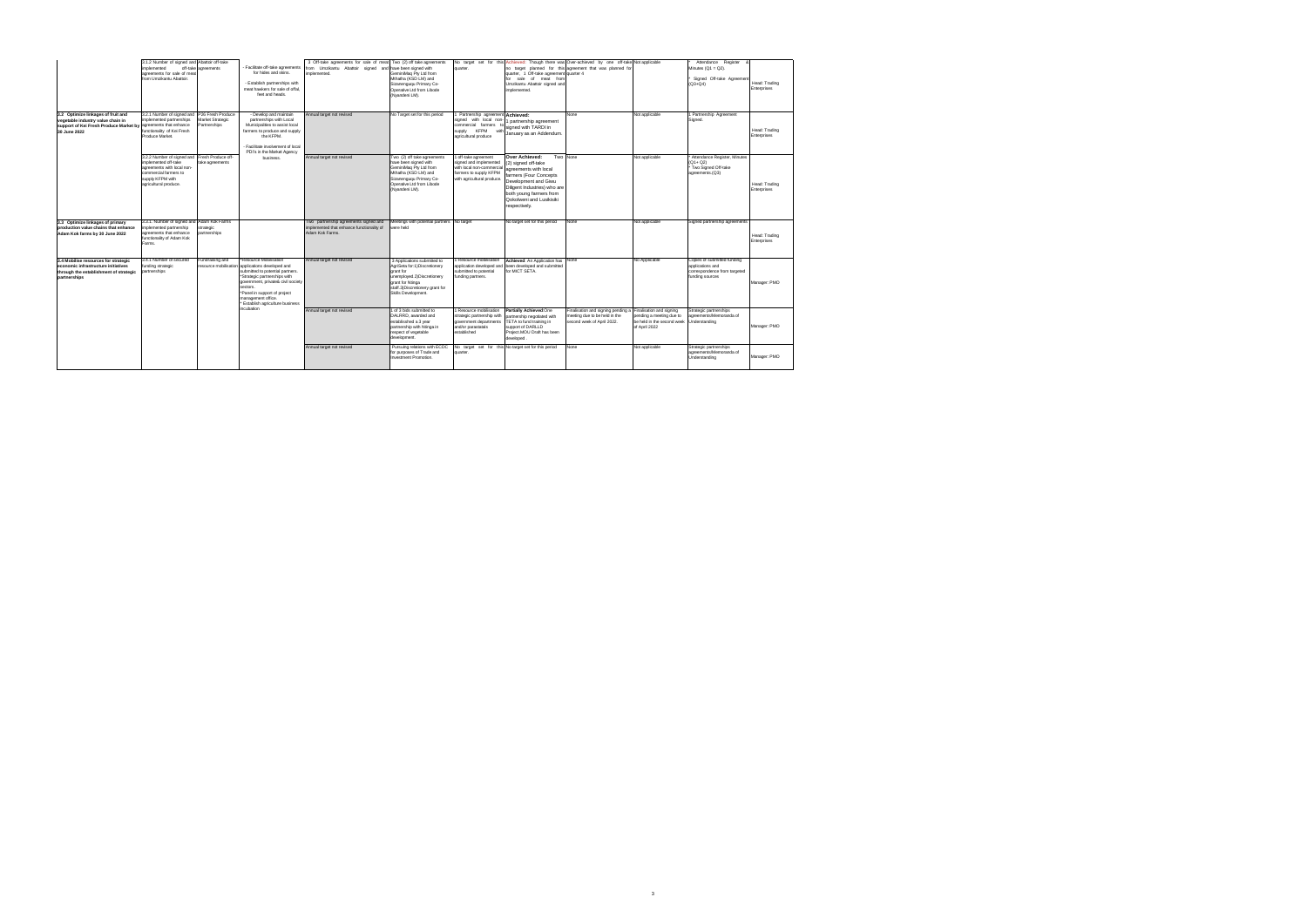|                                                                                                                                                           | 3.1.2 Number of signed and Abattoir off-take<br>implemented<br>agreements for sale of meat<br>from Umzikantu Abattoir.                                                    | off-take agreements                                   | - Facilitate off-take agreements<br>for hides and skins.<br>- Establish partnerships with<br>meat hawkers for sale of offal.<br>feet and heads.                                                                                                                                            | 3 Off-take agreements for sale of meat Two (2) off take agreements<br>from Umzikantu Abattoir signed and have been signed with<br>implemented. | GeminiMag Pty Ltd from<br>Mthatha (KSD LM) and<br>Sizanengugu Primary Co-<br>Operative Ltd from Libode<br>(Nvandeni LM).                                                              | quarter.                                                                                                                                      | quarter, 1 Off-take agreement quarter 4<br>for sale of meat from<br>Umzikantu Abattoir signed and<br>implemented.                                                                                                        | No target set for this Achieved: Though there was Over-achieved by one off-take Not applicable<br>no target planned for this agreement that was planned for |                                                                                                     | Attendance Register<br>Minutes $(Q1 = Q2)$ .<br>Signed Off-take Agreement<br>$(Q3 + Q4)$           | Head: Trading<br>Enterprises |
|-----------------------------------------------------------------------------------------------------------------------------------------------------------|---------------------------------------------------------------------------------------------------------------------------------------------------------------------------|-------------------------------------------------------|--------------------------------------------------------------------------------------------------------------------------------------------------------------------------------------------------------------------------------------------------------------------------------------------|------------------------------------------------------------------------------------------------------------------------------------------------|---------------------------------------------------------------------------------------------------------------------------------------------------------------------------------------|-----------------------------------------------------------------------------------------------------------------------------------------------|--------------------------------------------------------------------------------------------------------------------------------------------------------------------------------------------------------------------------|-------------------------------------------------------------------------------------------------------------------------------------------------------------|-----------------------------------------------------------------------------------------------------|----------------------------------------------------------------------------------------------------|------------------------------|
| 3.2 Optimize linkages of fruit and<br>vegetable industry value chain in<br>support of Kei Fresh Produce Market by agreements that enhance<br>30 June 2022 | 3.2.1 Number of signed and<br>implemented partnerships<br>functionality of Kei Fresh<br>Produce Market.                                                                   | P26 Fresh Produce<br>Market Strategic<br>Partnerships | - Develop and maintain<br>partnerships with Local<br>Municipalities to assist local<br>farmers to produce and supply<br>the KFPM.<br>- Facilitate involvement of local<br>PDI's in the Market Agency                                                                                       | Annual target not revised                                                                                                                      | No Target set for this period                                                                                                                                                         | 1 Partnership agreement Achieved:<br>signed with local non-<br>commercial farmers to<br><b>KFPM</b><br>supply<br>with<br>agricultural produce | 1 partnership agreement<br>signed with TARDI in<br>January as an Addendum.                                                                                                                                               | None                                                                                                                                                        | Not applicable                                                                                      | 1 Partnership Agreement<br>Signed.                                                                 | Head: Trading<br>Enterprises |
|                                                                                                                                                           | 3.2.2 Number of signed and Fresh Produce off-<br>implemented off-take<br>agreements with local non-<br>commercial farmers to<br>supply KFPM with<br>agricultural produce. | take agreements                                       | business.                                                                                                                                                                                                                                                                                  | Annual target not revised                                                                                                                      | Two (2) off take agreements<br>have been signed with<br>GeminiMag Pty Ltd from<br>Mthatha (KSD LM) and<br>Sizanengugu Primary Co-<br>Operative Ltd from Libode<br>(Nyandeni LM).      | 1 off-take agreement<br>signed and implemented<br>with local non-commercial<br>farmers to supply KFPM<br>with agricultural produce.           | Over Achieved:<br>(2) signed off-take<br>agreements with local<br>farmers (Four Concepts<br>Development and Giwu<br>Diligent Industries) who are<br>both young farmers from<br>Qokolweni and Lusikisiki<br>respectively. | Two None                                                                                                                                                    | Not applicable                                                                                      | Attendance Register, Minutes<br>$(Q1 + Q2)$<br>Two Signed Off-take<br>agreements.(Q3)              | Head: Trading<br>Enterprises |
| 3.3 Optimize linkages of primary<br>production value chains that enhance<br>Adam Kok farms by 30 June 2022                                                | 3.3.1. Number of signed and<br>implemented partnership<br>agreements that enhance<br>functionality of Adam Kok<br>Farms.                                                  | Adam Kok Farms<br>strategic<br>partnerships           |                                                                                                                                                                                                                                                                                            | Two partnership agreements signed and<br>implemented that enhance functionality of<br>Adam Kok Farms.                                          | Meetings with potential partners No target<br>vere held                                                                                                                               |                                                                                                                                               | No target set for this period                                                                                                                                                                                            | None                                                                                                                                                        | Not applicable                                                                                      | Signed partnership agreements                                                                      | Head: Trading<br>Enterprises |
| 3.4 Mobilise resources for strategic<br>economic infrastructure initiatives<br>through the establishment of strategic<br>partnerships                     | 3.4.1 Number of secured<br>funding strategic<br>partnerships                                                                                                              | Fundraising and                                       | *Resource Mobilisation<br>resource mobilisation applications developed and<br>submitted to potential partners.<br>*Strategic partnerships with<br>government, private& civil society<br>sectors.<br>*Panel in support of project<br>management office.<br>* Establish agriculture business | Annual target not revised                                                                                                                      | 3 Applications submitted to<br>AgriSeta for:1)Discretionery<br>grant for<br>unemployed.2)Discretionery<br>grant for Ntinga<br>staff.3) Discretionery grant for<br>Skills Development. | 1 Resource mobilisation<br>application developed and<br>submitted to potential<br>funding partners.                                           | Achieved: An Application has None<br>been developed and submitted<br>for MICT SETA.                                                                                                                                      |                                                                                                                                                             | No Applicable                                                                                       | Copies of submitted funding<br>applications and<br>correspondence from targeted<br>funding sources | Manager: PMO                 |
|                                                                                                                                                           |                                                                                                                                                                           |                                                       | incubation                                                                                                                                                                                                                                                                                 | Annual target not revised                                                                                                                      | 1 of 3 bids submitted to<br>DALRRD, awarded and<br>establisshed a 3 year<br>partnership with Ntinga in<br>respect of vegetable<br>development.                                        | 1 Resource mobilisation<br>strategic partnership with<br>government departments<br>and/or parastatals<br>established                          | Partially Achieved:One<br>partnership negotiated with<br>TETA to fund training in<br>support of DARLLD<br>Project.MOU Draft has been<br>developed.                                                                       | Finalisation and signing pending a<br>meeting due to be held in the<br>second week of April 2022.                                                           | Finalisation and signing<br>pending a meeting due to<br>be held in the second week<br>of April 2022 | Strategic partnerships<br>agreements/Memoranda of<br>Understanding                                 | Manager: PMO                 |
|                                                                                                                                                           |                                                                                                                                                                           |                                                       |                                                                                                                                                                                                                                                                                            | Annual target not revised                                                                                                                      | Pursuing relations with ECDC<br>for purposes of Trade and<br>Investment Promotion.                                                                                                    | quarter.                                                                                                                                      | No target set for this No target set for this period                                                                                                                                                                     | None                                                                                                                                                        | Not applicable                                                                                      | Strategic partnerships<br>agreements/Memoranda of<br>Understanding                                 | Manager: PMO                 |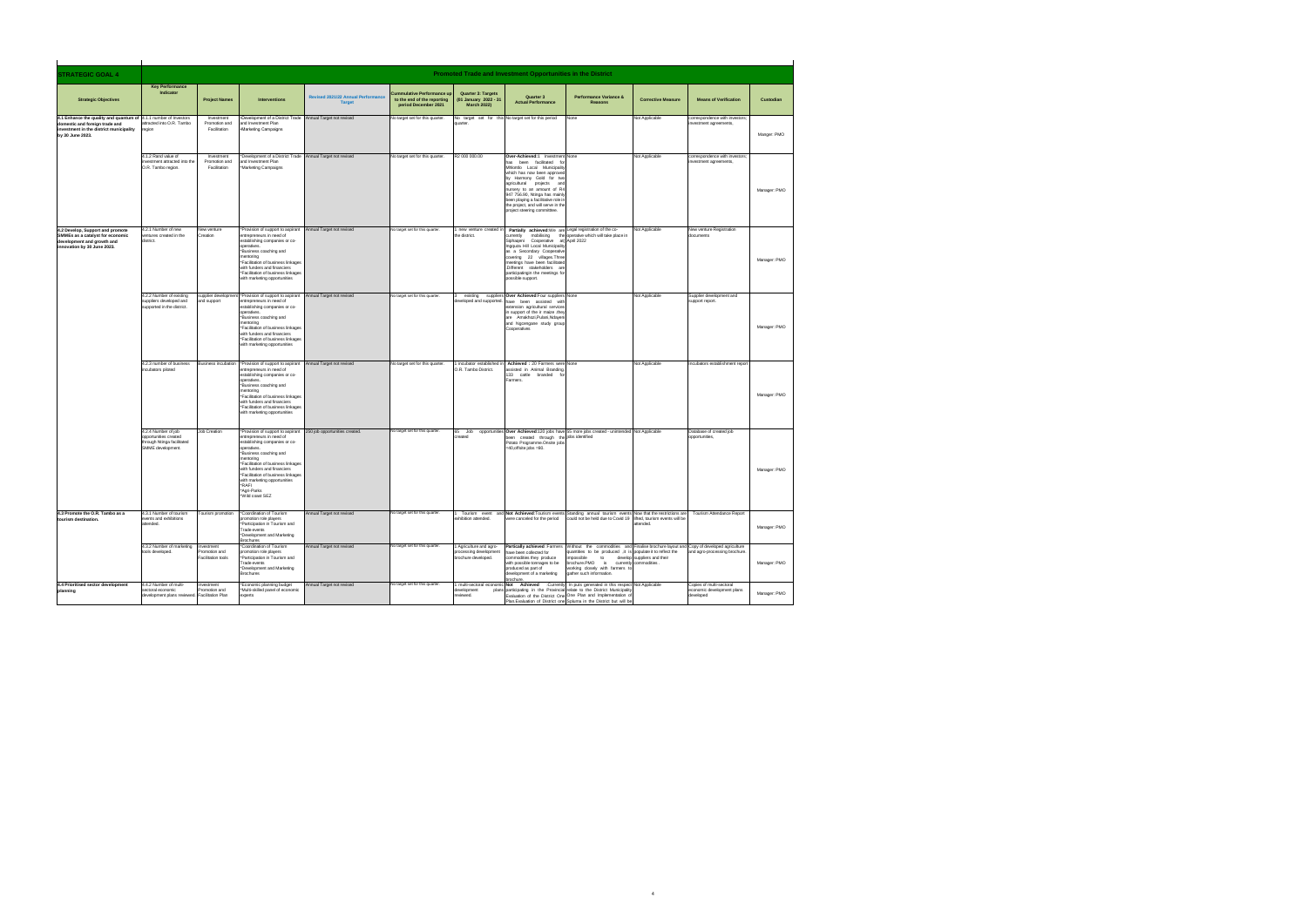processed on the due date which

| <b>STRATEGIC GOAL 4</b>                                                                                                                                          |                                                                                                |                                                         |                                                                                                                                                                                                                                                                                                                                           |                                                            |                                                                               |                                                                         | Promoted Trade and Investment Opportunities in the District                                                                                                                                                                                                                                                                                                   |                                                                                                                                                                                                                                                                                                                                                     |                             |                                                                     |              |
|------------------------------------------------------------------------------------------------------------------------------------------------------------------|------------------------------------------------------------------------------------------------|---------------------------------------------------------|-------------------------------------------------------------------------------------------------------------------------------------------------------------------------------------------------------------------------------------------------------------------------------------------------------------------------------------------|------------------------------------------------------------|-------------------------------------------------------------------------------|-------------------------------------------------------------------------|---------------------------------------------------------------------------------------------------------------------------------------------------------------------------------------------------------------------------------------------------------------------------------------------------------------------------------------------------------------|-----------------------------------------------------------------------------------------------------------------------------------------------------------------------------------------------------------------------------------------------------------------------------------------------------------------------------------------------------|-----------------------------|---------------------------------------------------------------------|--------------|
| <b>Strategic Objectives</b>                                                                                                                                      | <b>Key Performance</b><br>Indicator                                                            | <b>Project Names</b>                                    | Interventions                                                                                                                                                                                                                                                                                                                             | <b>Revised 2021/22 Annual Performance</b><br><b>Target</b> | ulative Performance up<br>to the end of the reporting<br>period December 2021 | Quarter 3: Targets<br>(01 January 2022 - 31<br><b>March 2022)</b>       | Quarter 3<br><b>Actual Performance</b>                                                                                                                                                                                                                                                                                                                        | Performance Variance &<br>Reasons                                                                                                                                                                                                                                                                                                                   | <b>Corrective Measure</b>   | <b>Means of Verification</b>                                        | Custodian    |
| 4.1 Enhance the quality and quantum of 4.1.1 number of Investors<br>domestic and foreign trade and<br>nvestment in the district municipality<br>by 30 June 2023. | attracted into O.R. Tambo<br>egion                                                             | Investment<br>Promotion and<br>Facilitation             | .Development of a District Trade Annual Target not revised<br>and Investment Plan<br>·Marketing Campaigns                                                                                                                                                                                                                                 |                                                            | No target set for this quarter.                                               | uarter                                                                  | No target set for this No target set for this period                                                                                                                                                                                                                                                                                                          | None                                                                                                                                                                                                                                                                                                                                                | Not Applicable              | correspondence with investors;<br>stment agreements                 | Manger: PMO  |
|                                                                                                                                                                  | 4.1.2 Rand value of<br>investment attracted into the<br>O.R. Tambo region.                     | Investment<br>Promotion and<br>Facilitation             | Development of a District Trade Annual Target not revised<br>and Investment Plan<br>Marketing Campaigns                                                                                                                                                                                                                                   |                                                            | No target set for this quarter.                                               | R2 000 000 00                                                           | Over-Achieved:1 Investment None<br>has been facilitated for<br>Mhlontlo Local Municipality<br>which has now been approved<br>by Harmony Gold for two<br>agricultural projects and<br>nursery to an amount of R4<br>947 756.90, Ntinga has mainly<br>been playing a facilitative role in<br>the project, and will serve in the<br>project steering committtee. |                                                                                                                                                                                                                                                                                                                                                     | Not Applicable              | correspondence with investors:<br>vestment agreements               | Manager: PMO |
| 4.2 Develop, Support and promote<br>SMMEs as a catalyst for economic<br>development and growth and<br>innovation by 30 June 2023.                                | 4.2.1 Number of new<br>ventures created in the<br>listrict.                                    | New venture<br>Creation                                 | *Provision of support to aspirant Annual Target not revised<br>entrepreneurs in need of<br>establishing companies or co-<br>operatives.<br>*Business coaching and<br>nentoring<br>*Facilitation of business linkages<br>with funders and financiers<br>*Facilitation of business linkages<br>vith marketing opportunities                 |                                                            | No target set for this quarter.                                               | he district.                                                            | new venture created in Partially achieved: We are Legal registration of the co-<br>currently<br>Siphageni Cooperative at April 2022<br>Ingquza Hill Local Municipality<br>as a Secondary Cooperative<br>covering 22 villages. Three<br>meetings have been facilitated<br>.Different stakeholders are<br>participatingin the meetings for<br>possible support. | mobilising the operative which will take place in                                                                                                                                                                                                                                                                                                   | Not Applicable              | New venture Registration<br>documents                               | Manager: PMO |
|                                                                                                                                                                  | 4.2.2 Number of existing<br>suppliers developed and<br>supported in the district               | and support                                             | supplier development *Provision of support to aspirant<br>entrepreneurs in need of<br>establishing companies or co-<br>operatives.<br>*Business coaching and<br>nentoring<br>*Facilitation of business linkages<br>with funders and financiers<br>Facilitation of business linkages<br>with marketing opportunities                       | Annual Target not revised                                  | No target set for this quarter.                                               |                                                                         | existing suppliers Over Achieved: Four suppliers None<br>weloped and supported. have been assisted with<br>dension agricultural services<br>in support of the ir maize .they<br>are Amakhozi, Pulani, Ndayeni<br>and Ngcengane study group<br>Cooperatives                                                                                                    |                                                                                                                                                                                                                                                                                                                                                     | Not Applicable              | Supplier development and<br>support report.                         | Manager: PMO |
|                                                                                                                                                                  | 4.2.3 number of business<br>incubators piloted                                                 |                                                         | Business incubation *Provision of support to aspirant<br>entrepreneurs in need of<br>establishing companies or co-<br>operatives.<br>*Business coaching and<br>mentoring<br>*Facilitation of business linkages<br>with funders and financiers<br>*Facilitation of business linkages<br>vith marketing opportunities                       | Annual Target not revised                                  | No target set for this quarter.                                               | O.R. Tambo District.                                                    | incubator established in Achieved : 20 Farmers were None<br>assisted in Animal Branding.<br>133 cattle branded<br>Farmers                                                                                                                                                                                                                                     |                                                                                                                                                                                                                                                                                                                                                     | Not Applicable              | Incubators establishment report                                     | Manager: PMO |
|                                                                                                                                                                  | 4.2.4 Number of iob<br>opportunities created<br>through Ntinga facilitated<br>SMMF development | <b>Job Creation</b>                                     | *Provision of support to aspirant<br>entrepreneurs in need of<br>establishing companies or co-<br>operatives.<br>*Business coaching and<br>mentorina<br>*Facilitation of business linkages<br>with funders and financiers<br>*Facilitation of business linkage<br>with marketing opportunities<br>*RAFL<br>*Agri-Parks<br>*Wild coast SEZ | 250 job opportunities created.                             | No target set for this quarter.                                               |                                                                         | Potato Programme Onsite jobs<br>$=40$ offsite inhs $=80$ .                                                                                                                                                                                                                                                                                                    | 65 Job opportunities Over Achieved:120 jobs have 55 more jobs created - unintended Not Applicable<br>created through the jobs identified                                                                                                                                                                                                            |                             | Database of created iob<br>opportunities.                           | Manager: PMO |
| 4.3 Promote the O.R. Tambo as a<br>urism destinatio                                                                                                              | 4.3.1 Number of tourism<br>events and exhibitions<br>attended.                                 | Tourism promotion                                       | *Coordination of Tourism<br>promotion role players<br>*Participation in Tourism and<br>Trade events<br>Development and Marketing<br><b>Brochures</b>                                                                                                                                                                                      | Annual Target not revised                                  | No target set for this quarter                                                | shibition attended.                                                     | were canceled for the period                                                                                                                                                                                                                                                                                                                                  | Tourism event and Not Achieved:Tourism events Standing annual tourism events Now that the restrictions are Tourism Attendance Report<br>could not be held due to Covid 19 lifted, tourism events will be                                                                                                                                            | attended.                   |                                                                     | Manager: PMO |
|                                                                                                                                                                  | 4.3.2 Number of marketing<br>tools developed                                                   | Investment<br>romotion and<br><b>Facilitation tools</b> | *Coordination of Tourism<br>romotion role players<br>Participation in Tourism and<br>Trade events<br>Development and Marketing<br><b>Brochures</b>                                                                                                                                                                                        | Annual Target not revised                                  | No target set for this quarter                                                | 1 Agriculture and agro-<br>rocessing development<br>brochure developed. | have been collected for<br>commodities they produce<br>with possible tonnages to be<br>produced as part of<br>development of a marketing                                                                                                                                                                                                                      | Partically achieved :Farmers Without the commodities and Finalise brochure layout and Copy of developed agriculture<br>quantities to be produced ,it is populate it to reflect the<br>mnossible<br>to<br>impossible to develop suppliers and<br>brochure.PMO is currently commodities<br>working closely with farmers to<br>gather such information | develop suppliers and their | and agro-processing brochure.                                       | Manager: PMO |
| 4.4 Prioritised sector development                                                                                                                               | 4.4.2 Number of multi-<br>sectoral economic<br>development plans reviewed. Facilitation Plan   | Investment<br>Promotion and                             | *Economic planning budget<br>Multi-skilled panel of economic<br>experts                                                                                                                                                                                                                                                                   | Annual Target not revised                                  | No target set for this quarter.                                               | tevelopment<br>eviewed.                                                 | hrochure.                                                                                                                                                                                                                                                                                                                                                     | 1 multi-sectoral economic Not Achieved :Currently In puts generated in this respect Not Applicable<br>plans participating in the Provincial relate to the District Municipality<br>Evaluation of the District One One Plan and Implementation of<br>Plan. Evaluation of District one Spluma in the District but will be                             |                             | Copies of multi-sectoral<br>economic development plans<br>developed | Manager: PMO |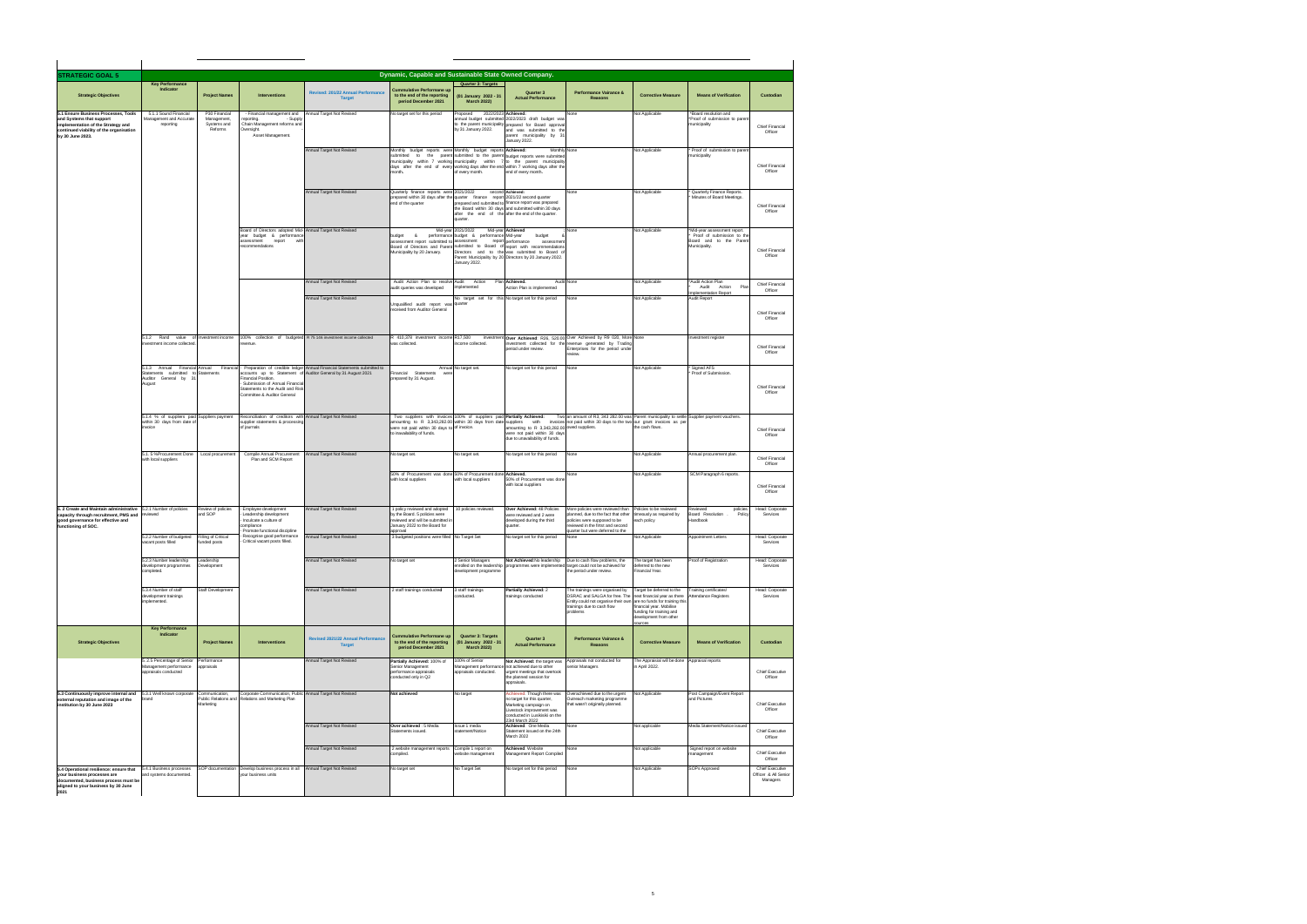| <b>STRATEGIC GOAL 5</b>                                                                                                                                               |                                                                                             |                                                        |                                                                                                                                           |                                                                                                                                          | Dynamic, Capable and Sustainable State Owned Company.                                                                                                                                                                       |                                                                                                |                                                                                                                                                                                                                                                                                                  |                                                                                                                                                                                                               |                                                                                                                        |                                                                                                        |                                                     |
|-----------------------------------------------------------------------------------------------------------------------------------------------------------------------|---------------------------------------------------------------------------------------------|--------------------------------------------------------|-------------------------------------------------------------------------------------------------------------------------------------------|------------------------------------------------------------------------------------------------------------------------------------------|-----------------------------------------------------------------------------------------------------------------------------------------------------------------------------------------------------------------------------|------------------------------------------------------------------------------------------------|--------------------------------------------------------------------------------------------------------------------------------------------------------------------------------------------------------------------------------------------------------------------------------------------------|---------------------------------------------------------------------------------------------------------------------------------------------------------------------------------------------------------------|------------------------------------------------------------------------------------------------------------------------|--------------------------------------------------------------------------------------------------------|-----------------------------------------------------|
| <b>Strategic Objectives</b>                                                                                                                                           | <b>Key Performance</b><br>Indicato                                                          | <b>Project Names</b>                                   | <b>Interventions</b>                                                                                                                      | Revised: 201/22 Annual Performance<br><b>Target</b>                                                                                      | Cummulative Performane up<br>to the end of the reporting<br>period December 2021                                                                                                                                            | Quarter 3: Targets<br>(01 January 2022 - 31<br><b>March 2022)</b>                              | Quarter 3<br><b>Actual Performance</b>                                                                                                                                                                                                                                                           | Performance Vairance &<br><b>Reasons</b>                                                                                                                                                                      | <b>Corrective Measure</b>                                                                                              | <b>Means of Verification</b>                                                                           | Custodian                                           |
| 5.1 Ensure Business Processes, Tools<br>and Systems that support<br>implementation of the Strategy and<br>continued viability of the organisation<br>by 30 June 2023. | 5.1.1 Sound Financial<br>Management and Accurate<br>reporting                               | P30 Financial<br>Management,<br>Systems and<br>Reforms | - Financial management and<br>reportina.<br>- Supply<br>Chain Management reforms and<br>Oversight.<br>Asset Management.                   | Annual Target Not Revised                                                                                                                | No target set for this period                                                                                                                                                                                               | Proposed<br>by 31 January 2022.                                                                | 2022/2023 Achieved:<br>annual budget submitted 2022/2023 draft budget was<br>to the parent municipality prepared for Board approval<br>and was submitted to the<br>parent municipality by 31<br>January 2022.                                                                                    | None                                                                                                                                                                                                          | Not Applicable                                                                                                         | "Board resolution and<br>*Proof of submission to parent<br>municipality                                | Chief Financial<br>Officer                          |
|                                                                                                                                                                       |                                                                                             |                                                        |                                                                                                                                           | Annual Target Not Revised                                                                                                                | Monthly budget reports were Monthly budget reports Achieved:<br>month.                                                                                                                                                      | of every month.                                                                                | Monthly None<br>submitted to the parent submitted to the parent budget reports were submitted<br>municipality within 7 working municipality within 7 to the parent municipality<br>days after the end of every working days after the end within 7 working days after the<br>end of every month. |                                                                                                                                                                                                               | Not Applicable                                                                                                         | Proof of submission to parent<br>municipality                                                          | Chief Financial<br>Officer                          |
|                                                                                                                                                                       |                                                                                             |                                                        |                                                                                                                                           | Annual Target Not Revised                                                                                                                | Quarterly finance reports were<br>prepared within 30 days after the quarter finance report 2021/22 second quarter<br>end of the quarter                                                                                     | 2021/2022<br>quarter.                                                                          | second Achieved:<br>prepared and submitted to finance report was prepared<br>the Board within 30 days and submitted within 30 days<br>after the end of the after the end of the quarter.                                                                                                         | None<br>None                                                                                                                                                                                                  | Not Applicable                                                                                                         | Quarterly Finance Reports.<br>Minutes of Board Meetings.                                               | Chief Financial<br>Officer                          |
|                                                                                                                                                                       |                                                                                             |                                                        | Board of Directors adopted Mid- Annual Target Not Revised<br>year budget & performance<br>assessment<br>report<br>with<br>recommendations |                                                                                                                                          | budget<br>$\mathbf{r}$<br>assessment report submitted to<br>Municipality by 20 January.                                                                                                                                     | Mid-year 2021/2022<br>performance budget & performance Mid-vear<br>assessment<br>January 2022. | Mid-year Achieved<br>budget<br>report performance<br>assessment<br>Board of Directors and Parent submitted to Board of report with recommendations<br>Directors and to the was submitted to Board of<br>Parent Municipality by 20 Directors by 20 January 2022.                                  |                                                                                                                                                                                                               | Not Applicable                                                                                                         | *Mid-year assessment report.<br>Proof of submission to the<br>Board and to the Parent<br>Municipality. | Chief Financial<br>Officer                          |
|                                                                                                                                                                       |                                                                                             |                                                        |                                                                                                                                           | Annual Target Not Revised                                                                                                                | Audit Action Plan to resolve Audit<br>audit queries was developed                                                                                                                                                           | Action<br>implemented                                                                          | Plan Achieved.<br>Action Plan is implemented                                                                                                                                                                                                                                                     | Audit None                                                                                                                                                                                                    | Not Applicable                                                                                                         | *Audit Action Plan<br>Action<br>Audit<br>Plar<br>Implementation Report                                 | Chief Financial<br>Officer                          |
|                                                                                                                                                                       |                                                                                             |                                                        |                                                                                                                                           | Annual Target Not Revised                                                                                                                | Unqualified audit report was quarter<br>received from Auditor General                                                                                                                                                       |                                                                                                | No target set for this No target set for this period                                                                                                                                                                                                                                             | None                                                                                                                                                                                                          | Not Applicable                                                                                                         | Audit Report                                                                                           | Chief Financial<br>Officer                          |
|                                                                                                                                                                       | 5.1.2 Rand value of Investment income<br>investment income collected                        |                                                        | revenue.                                                                                                                                  | 100% collection of budgeted R 75 146 investment income collected                                                                         | R 410,378 investment income R17,500<br>was collected                                                                                                                                                                        | come collected.                                                                                | period under review.                                                                                                                                                                                                                                                                             | investment Over Achieved: R26, 520.00 Over Achieved by R9 020, More None<br>nvestment collected for the revenue generated by Trading<br>Enterprises for the period under<br>aview                             |                                                                                                                        | Investment register                                                                                    | Chief Financial<br>Officer                          |
|                                                                                                                                                                       | 5.1.3 Annual Financial Annual<br>Statements submitted to<br>Auditor General by 31<br>August | Financial<br>Statements                                | Financial Position.<br>Submission of Annual Financial<br>Statements to the Audit and Risk<br>Committee & Auditor General                  | Preparation of credible ledger Annual Financial Statements submitted to<br>iccounts up to Statement of Auditor General by 31 August 2021 | Financial Statements<br>prepared by 31 August.                                                                                                                                                                              | Annual No target set.                                                                          | No target set for this period                                                                                                                                                                                                                                                                    | None                                                                                                                                                                                                          | Not Applicable                                                                                                         | Signed AFS<br>Proof of Submission.                                                                     | Chief Financial<br>Officer                          |
|                                                                                                                                                                       | 5.1.4 % of suppliers paid Suppliers payment<br>within 30 days from date of<br>invoice       |                                                        | Reconciliation of creditors with Annual Target Not Revised<br>supplier statements & processing<br>of journals                             |                                                                                                                                          | Two suppliers with invoices 100% of suppliers paid Partially Achieved:<br>amounting to R 3,343,282.00 within 30 days from date suppliers with<br>were not paid within 30 days to of invoice.<br>to inavailability of funds. |                                                                                                | amounting to R 3,343,282.00 owed suppliers.<br>were not paid within 30 days<br>due to unavailability of funds.                                                                                                                                                                                   | Two an amount of R3, 343 282.00 was Parent municipality to settle Supplier payment vouchers.<br>invoices not paid within 30 days to the two our grant invoices as pe                                          | the cash flows.                                                                                                        |                                                                                                        | Chief Financial<br>Officer                          |
|                                                                                                                                                                       | 5.1.5 %Procurement Done<br>with local suppliers                                             | Local procurement                                      | Compile Annual Procurement<br>Plan and SCM Report                                                                                         | Annual Target Not Revised                                                                                                                | No target set.                                                                                                                                                                                                              | No target set.                                                                                 | No target set for this period                                                                                                                                                                                                                                                                    | None<br>None                                                                                                                                                                                                  | Not Applicable                                                                                                         | Annual procurement plan.                                                                               | Chief Financial<br>Officer                          |
|                                                                                                                                                                       |                                                                                             |                                                        |                                                                                                                                           |                                                                                                                                          | 50% of Procurement was done 50% of Procurement done Achieved.<br>with local suppliers                                                                                                                                       | with local suppliers                                                                           | 50% of Procurement was done<br>with local suppliers                                                                                                                                                                                                                                              |                                                                                                                                                                                                               | Not Applicable                                                                                                         | SCM Paragraph 6 reports.                                                                               | Chief Financial<br>Officer                          |
| 5. 2 Create and Maintain administrative 5.2.1 Number of policies<br>capacity through recruitment, PMS and<br>good governance for effective and<br>functioning of SOC. | eviewed                                                                                     | Review of policies<br>and SOP                          | Employee development<br>Leadership development<br>Inculcate a culture of<br>compliance                                                    | Annual Target Not Revised                                                                                                                | 1 policy reviewed and adopted<br>by the Board. 5 policies were<br>reviewed and will be submitted in<br>January 2022 to the Board for                                                                                        | 10 policies reviewed.                                                                          | Over Achieved: 48 Policies<br>were reviewed and 2 were<br>developed during the third<br>quarter.                                                                                                                                                                                                 | More policies were reviewed than<br>planned, due to the fact that other<br>policies were supposed to be<br>reviewed in the firtst and second                                                                  | Policies to be reviewed<br>imeously as required by<br>each policy                                                      | Reviewed<br>policies.<br>Board Resolution<br>Policy<br>Handbook                                        | Head: Corporate<br>Services                         |
|                                                                                                                                                                       | 5.2.2 Number of budgeted<br>vacant posts filled                                             | Filling of Critical<br>funded posts                    | Promote functional discipline<br>Recognise good performance<br>Critical vacant posts filled.                                              | Annual Target Not Revised                                                                                                                | approval<br>3 budgeted positions were filled No Target Set                                                                                                                                                                  |                                                                                                | No target set for this period                                                                                                                                                                                                                                                                    | quarter but were deferred to the<br>None                                                                                                                                                                      | Not Applicable                                                                                                         | Annointment Letters                                                                                    | Head: Corporate<br>Services                         |
|                                                                                                                                                                       | 5.2.3 Number leadership<br>development programmes<br>completed.                             | Leadership<br>Development                              |                                                                                                                                           | Annual Target Not Revised                                                                                                                | No target set                                                                                                                                                                                                               | 2 Senior Managers<br>enrolled on the leadership<br>levelopment programme                       | Not Achieved:No leadership                                                                                                                                                                                                                                                                       | Due to cash flow problems, the<br>programmes were implemented target could not be achieved for<br>the period under review.                                                                                    | The target has been<br>deferred to the new<br>Financial Year.                                                          | Proof of Registration                                                                                  | Head: Corporate<br>Services                         |
|                                                                                                                                                                       | 5.3.4 Number of staff<br>development trainings<br>implemented.                              | Staff Development                                      |                                                                                                                                           | Annual Target Not Revised                                                                                                                | 2 staff trainings conducted                                                                                                                                                                                                 | 3 staff trainings<br>conducted.                                                                | Partially Achieved: 2<br>trainings conducted                                                                                                                                                                                                                                                     | The trainings were organised by<br>DSRAC and SALGA for free. The next financial year as there<br>Entity could not organise their own are no funds for training this<br>trainings due to cash flow<br>problems | Target be deferred to the<br>financial vear, Mobilise<br>funding for training and<br>development from other<br>sources | Training certificates/<br>Attendance Registers                                                         | Head: Corporate<br>Services                         |
| <b>Strategic Objectives</b>                                                                                                                                           | <b>Key Performance</b><br>Indicator                                                         | <b>Project Names</b>                                   | <b>Interventions</b>                                                                                                                      | <b>Revised 2021/22 Annual Performance</b><br><b>Target</b>                                                                               | <b>Cummulative Performane up</b><br>to the end of the reporting<br>period December 2021                                                                                                                                     | Quarter 3: Targets<br>(01 January 2022 - 31<br><b>March 2022)</b>                              | Quarter 3<br><b>Actual Performance</b>                                                                                                                                                                                                                                                           | <b>Performance Vairance &amp;</b><br>Reasons                                                                                                                                                                  | <b>Corrective Measure</b>                                                                                              | <b>Means of Verification</b>                                                                           | Custodian                                           |
|                                                                                                                                                                       | 5. 2.5 Percentage of Senior<br>Management performance<br>appraisals conducted               | Performance<br>appraisals                              |                                                                                                                                           | Annual Target Not Revised                                                                                                                | Partially Achieved: 100% of<br>Senior Management<br>performance appraisals<br>conducted only in Q2                                                                                                                          | 100% of Senior<br>appraisals conducted.                                                        | Not Achieved: the target was<br>Management performance not achieved due to other<br>urgent meetings that overtook<br>the planned session for<br>appraisals.                                                                                                                                      | Appraisals not conducted for<br>enior Managers                                                                                                                                                                | The Appraisial will be done<br>n April 2022.                                                                           | Appraisal reports                                                                                      | Chief Executive<br>Officer                          |
| 5.3 Continuously improve internal and<br>external reputation and image of the<br>institution by 30 June 2023                                                          | 5.3.1 Well known corporate<br>brand                                                         | Communication,<br>Public Relations and<br>Marketing    | Corporate Communication, Public Annual Target Not Revised<br>Relations and Marketing Plan                                                 |                                                                                                                                          | Not achieved                                                                                                                                                                                                                | No target                                                                                      | Achieved: Though there was<br>no target for this quarter,<br>Marketing campaign on<br>Livestock improvement was                                                                                                                                                                                  | Overachieved due to the urgent<br>Outreach marketing programme<br>that wasn't originally planned.                                                                                                             | Not Applicable                                                                                                         | Post Campaign/Event Report<br>and Pictures                                                             | Chief Executive<br>Officer                          |
|                                                                                                                                                                       |                                                                                             |                                                        |                                                                                                                                           | Annual Target Not Revised                                                                                                                | Over achieved : 5 Media<br>Statements issued                                                                                                                                                                                | Issue 1 media<br>statement/Notice                                                              | conducted in Lusikisiki on the<br>23rd March 2022<br>Achieved: One Media<br>Statement issued on the 24th<br>March 2022                                                                                                                                                                           | None                                                                                                                                                                                                          | Not applicable                                                                                                         | Media Statement/Notice issued                                                                          | Chief Executive<br>Officer                          |
|                                                                                                                                                                       |                                                                                             |                                                        |                                                                                                                                           | Annual Target Not Revised                                                                                                                | 2 website management reports<br>compiled.                                                                                                                                                                                   | Compile 1 report on<br>website management                                                      | Achieved: Website<br>Management Report Compiled                                                                                                                                                                                                                                                  | None                                                                                                                                                                                                          | Not applicable                                                                                                         | Signed report on website<br>management                                                                 | Chief Executive<br>Officer                          |
| 5.4 Operational resilience: ensure that<br>your business processes are<br>documented, business process must be<br>aligned to your business by 30 June<br>2021         | 5.4.1 Business processes<br>ind systems documented.                                         | SOP documentation                                      | Develop business process in all Annual Target Not Revised<br>your business units                                                          |                                                                                                                                          | No target set                                                                                                                                                                                                               | No Target Set                                                                                  | No target set for this period                                                                                                                                                                                                                                                                    | None                                                                                                                                                                                                          | Not Applicable                                                                                                         | <b>SOPs Approved</b>                                                                                   | Chief Executive<br>Officer & All Senior<br>Managers |

 $\overline{\phantom{a}}$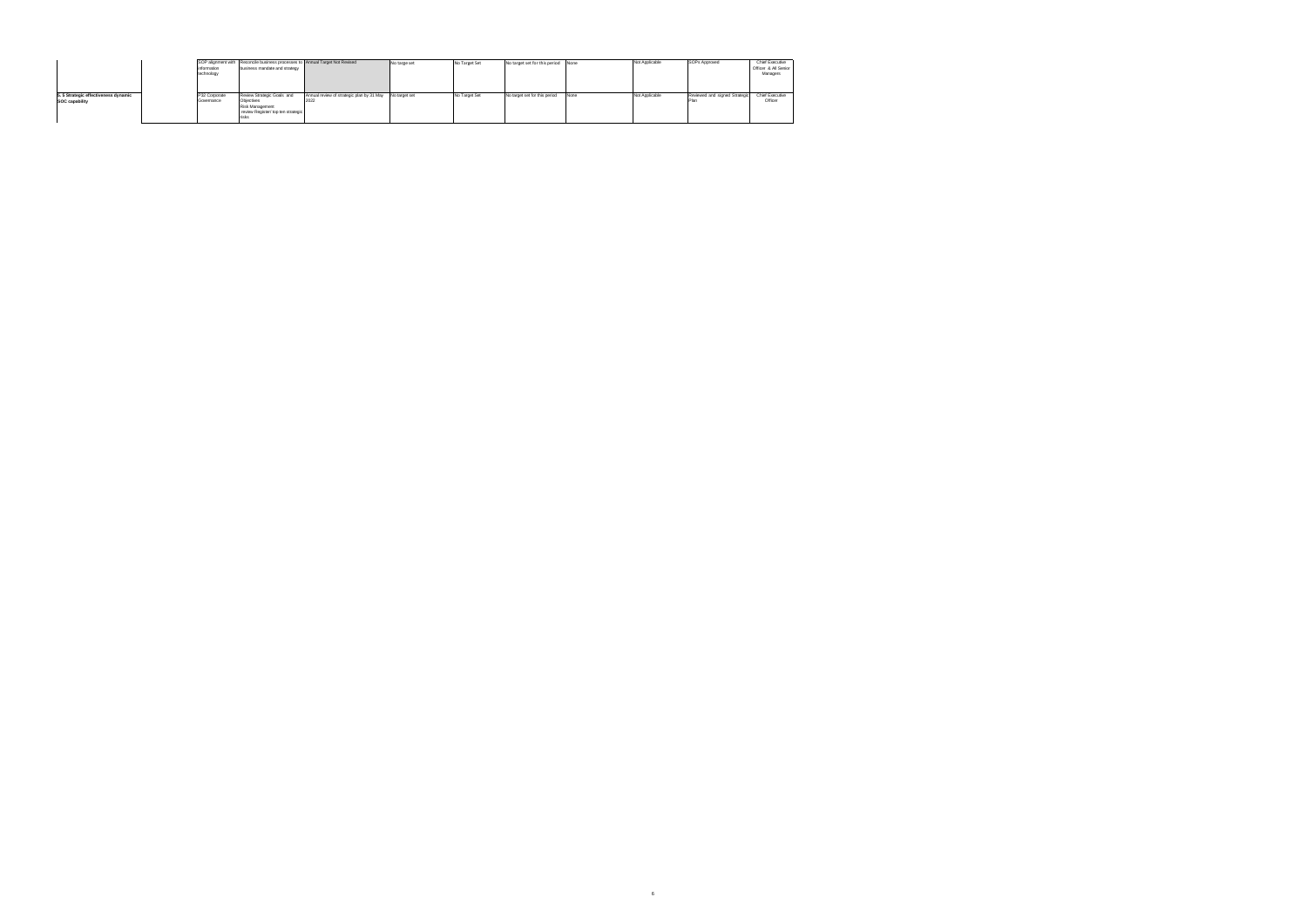|                                                       | information<br>technology   | SOP alignment with Reconcile business processes to Annual Target Not Revised<br>business mandate and strategy |                                                   | No targe set  | No Target Set | No target set for this period None |      | Not Applicable | SOPs Approved                 | Chief Executive<br>Officer & All Senior<br>Managers |
|-------------------------------------------------------|-----------------------------|---------------------------------------------------------------------------------------------------------------|---------------------------------------------------|---------------|---------------|------------------------------------|------|----------------|-------------------------------|-----------------------------------------------------|
| 5.5 Strategic effectiveness dynamic<br>SOC capability | P32 Corporate<br>Governance | Review Strategic Goals and<br>Objectives<br>Risk Management<br>review Register/ top ten strategic             | Annual review of strategic plan by 31 May<br>2022 | No target set | No Target Set | No target set for this period      | None | Not Applicable | Reviewed and signed Strategic | Chief Executive<br>Officer                          |